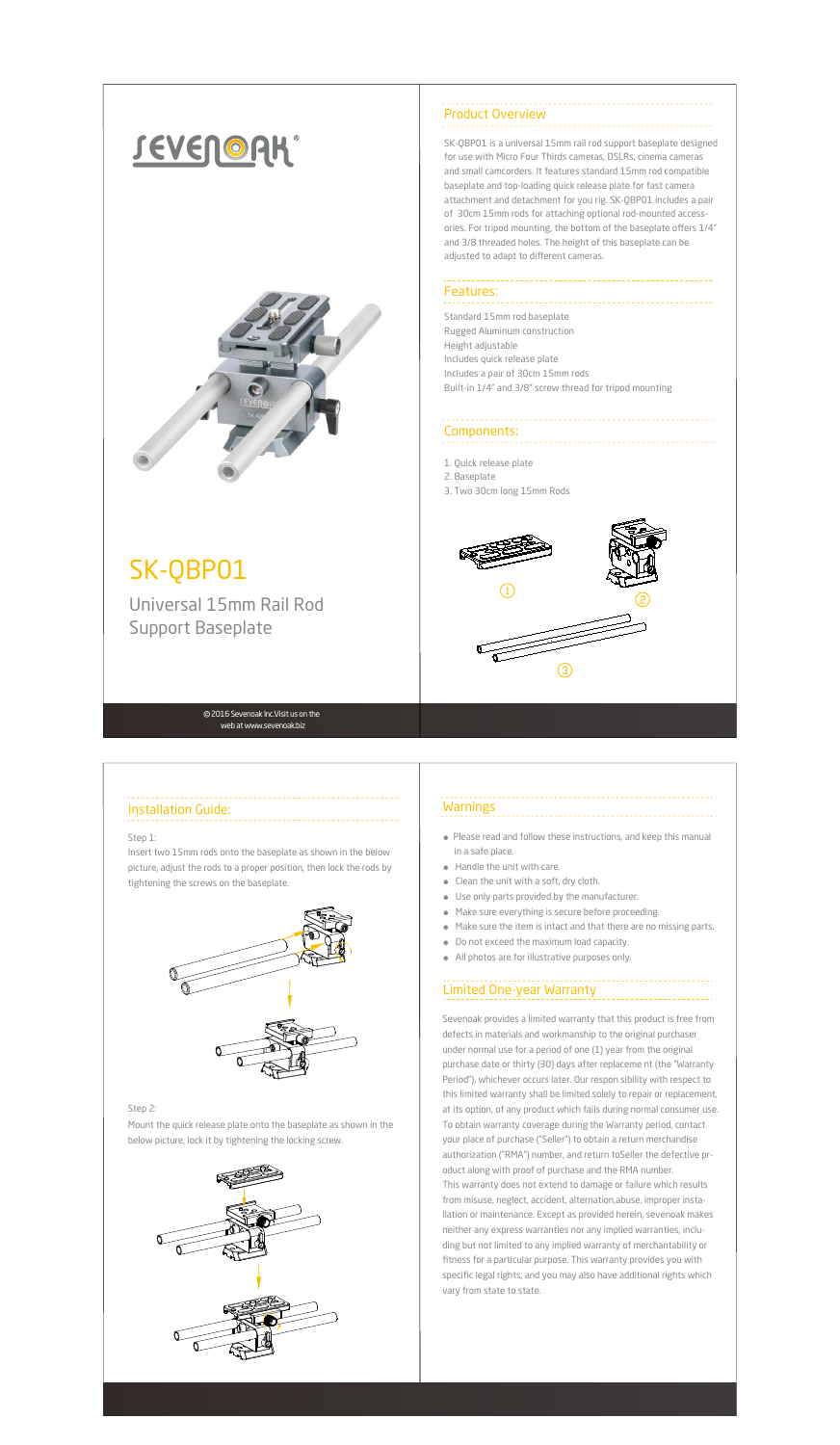# **JEVENORK**®



## SK-QBP01

Universal 15mm Rail Rod Support Baseplate

### Components:

### Installation Guide:

#### 2016 Sevenoak lnc.Visit us on the web at www.sevenoak.biz

 specific legal rights, and you may also have additional rights which Sevenoak provides a limited warranty that this product is free from defects in materials and workmanship to the original purchaser under normal use for a period of one (1) year from the original purchase date or thirty (30) days after replaceme nt (the "Warranty Period"), whichever occurs later. Our respon sibility with respect to this limited warranty shall be limited solely to repair or replacement, at its option, of any product which fails during normal consumer use. To obtain warranty coverage during the Warranty period, contact your place of purchase ("Seller") to obtain a return merchandise authorization ("RMA") number, and return toSeller the defective product along with proof of purchase and the RMA number. This warranty does not extend to damage or failure which results from misuse, neglect, accident, alternation,abuse, improper installation or maintenance. Except as provided herein, sevenoak makes neither any express warranties nor any implied warranties, including but not limited to any implied warranty of merchantability or fitness for a particular purpose. This warranty provides you with vary from state to state.



- Please read and follow these instructions, and keep this manual in a safe place.
- Handle the unit with care.
- Clean the unit with a soft, dry cloth.
- Use only parts provided by the manufacturer.
- Make sure everything is secure before proceeding.
- Make sure the item is intact and that there are no missing parts.
- Do not exceed the maximum load capacity.
- All photos are for illustrative purposes only.

### Limited One-year Warranty

SK-QBP01 is a universal 15mm rail rod support baseplate designed for use with Micro Four Thirds cameras, DSLRs, cinema cameras and small camcorders. It features standard 15mm rod compatible baseplate and top-loading quick release plate for fast camera attachment and detachment for you rig. SK-QBP01 includes a pair of 30cm 15mm rods for attaching optional rod-mounted accessories. For tripod mounting, the bottom of the baseplate offers 1/4" and 3/8 threaded holes. The height of this baseplate can be adjusted to adapt to different cameras.

1. Quick release plate

2. Baseplate

3. Two 30cm long 15mm Rods



#### Step 1:

Insert two 15mm rods onto the baseplate as shown in the below picture, adjust the rods to a proper position, then lock the rods by tightening the screws on the baseplate.



### **Warnings**

#### Step 2:

Mount the quick release plate onto the baseplate as shown in the below picture, lock it by tightening the locking screw.



Product Overview

### Features:

Standard 15mm rod baseplate Rugged Aluminum construction Height adjustable Includes quick release plate Includes a pair of 30cm 15mm rods Built-in 1/4" and 3/8" screw thread for tripod mounting